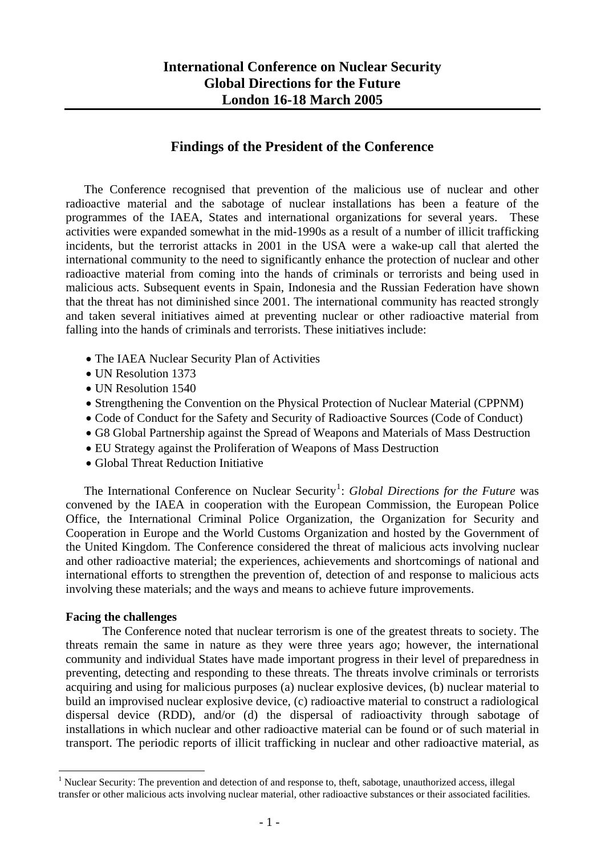# **Findings of the President of the Conference**

The Conference recognised that prevention of the malicious use of nuclear and other radioactive material and the sabotage of nuclear installations has been a feature of the programmes of the IAEA, States and international organizations for several years. These activities were expanded somewhat in the mid-1990s as a result of a number of illicit trafficking incidents, but the terrorist attacks in 2001 in the USA were a wake-up call that alerted the international community to the need to significantly enhance the protection of nuclear and other radioactive material from coming into the hands of criminals or terrorists and being used in malicious acts. Subsequent events in Spain, Indonesia and the Russian Federation have shown that the threat has not diminished since 2001. The international community has reacted strongly and taken several initiatives aimed at preventing nuclear or other radioactive material from falling into the hands of criminals and terrorists. These initiatives include:

- The IAEA Nuclear Security Plan of Activities
- UN Resolution 1373
- UN Resolution 1540
- Strengthening the Convention on the Physical Protection of Nuclear Material (CPPNM)
- Code of Conduct for the Safety and Security of Radioactive Sources (Code of Conduct)
- G8 Global Partnership against the Spread of Weapons and Materials of Mass Destruction
- EU Strategy against the Proliferation of Weapons of Mass Destruction
- Global Threat Reduction Initiative

The International Conference on Nuclear Security<sup>[1](#page-0-0)</sup>: *Global Directions for the Future* was convened by the IAEA in cooperation with the European Commission, the European Police Office, the International Criminal Police Organization, the Organization for Security and Cooperation in Europe and the World Customs Organization and hosted by the Government of the United Kingdom. The Conference considered the threat of malicious acts involving nuclear and other radioactive material; the experiences, achievements and shortcomings of national and international efforts to strengthen the prevention of, detection of and response to malicious acts involving these materials; and the ways and means to achieve future improvements.

# **Facing the challenges**

 $\overline{a}$ 

The Conference noted that nuclear terrorism is one of the greatest threats to society. The threats remain the same in nature as they were three years ago; however, the international community and individual States have made important progress in their level of preparedness in preventing, detecting and responding to these threats. The threats involve criminals or terrorists acquiring and using for malicious purposes (a) nuclear explosive devices, (b) nuclear material to build an improvised nuclear explosive device, (c) radioactive material to construct a radiological dispersal device (RDD), and/or (d) the dispersal of radioactivity through sabotage of installations in which nuclear and other radioactive material can be found or of such material in transport. The periodic reports of illicit trafficking in nuclear and other radioactive material, as

<span id="page-0-0"></span><sup>&</sup>lt;sup>1</sup> Nuclear Security: The prevention and detection of and response to, theft, sabotage, unauthorized access, illegal transfer or other malicious acts involving nuclear material, other radioactive substances or their associated facilities.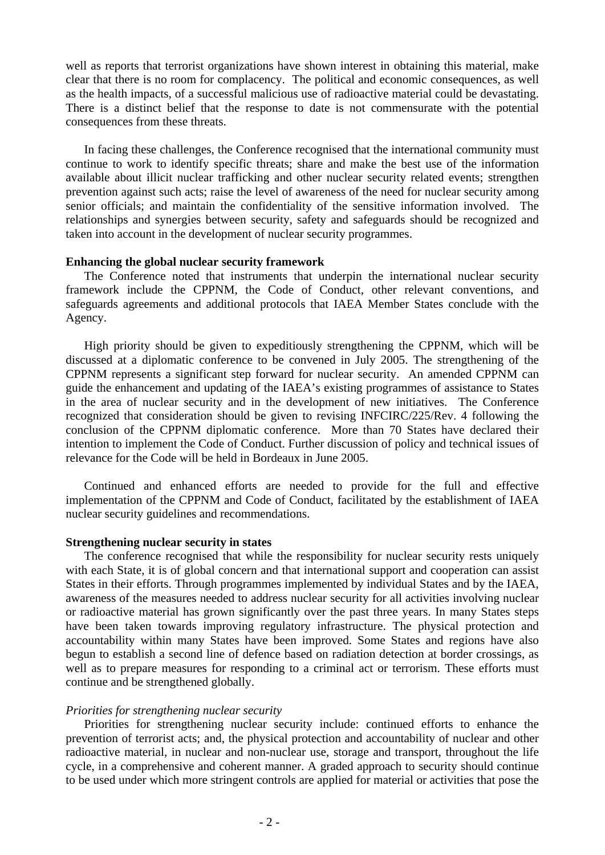well as reports that terrorist organizations have shown interest in obtaining this material, make clear that there is no room for complacency. The political and economic consequences, as well as the health impacts, of a successful malicious use of radioactive material could be devastating. There is a distinct belief that the response to date is not commensurate with the potential consequences from these threats.

In facing these challenges, the Conference recognised that the international community must continue to work to identify specific threats; share and make the best use of the information available about illicit nuclear trafficking and other nuclear security related events; strengthen prevention against such acts; raise the level of awareness of the need for nuclear security among senior officials; and maintain the confidentiality of the sensitive information involved. The relationships and synergies between security, safety and safeguards should be recognized and taken into account in the development of nuclear security programmes.

### **Enhancing the global nuclear security framework**

The Conference noted that instruments that underpin the international nuclear security framework include the CPPNM, the Code of Conduct, other relevant conventions, and safeguards agreements and additional protocols that IAEA Member States conclude with the Agency.

High priority should be given to expeditiously strengthening the CPPNM, which will be discussed at a diplomatic conference to be convened in July 2005. The strengthening of the CPPNM represents a significant step forward for nuclear security. An amended CPPNM can guide the enhancement and updating of the IAEA's existing programmes of assistance to States in the area of nuclear security and in the development of new initiatives. The Conference recognized that consideration should be given to revising INFCIRC/225/Rev. 4 following the conclusion of the CPPNM diplomatic conference. More than 70 States have declared their intention to implement the Code of Conduct. Further discussion of policy and technical issues of relevance for the Code will be held in Bordeaux in June 2005.

Continued and enhanced efforts are needed to provide for the full and effective implementation of the CPPNM and Code of Conduct, facilitated by the establishment of IAEA nuclear security guidelines and recommendations.

#### **Strengthening nuclear security in states**

The conference recognised that while the responsibility for nuclear security rests uniquely with each State, it is of global concern and that international support and cooperation can assist States in their efforts. Through programmes implemented by individual States and by the IAEA, awareness of the measures needed to address nuclear security for all activities involving nuclear or radioactive material has grown significantly over the past three years. In many States steps have been taken towards improving regulatory infrastructure. The physical protection and accountability within many States have been improved. Some States and regions have also begun to establish a second line of defence based on radiation detection at border crossings, as well as to prepare measures for responding to a criminal act or terrorism. These efforts must continue and be strengthened globally.

#### *Priorities for strengthening nuclear security*

Priorities for strengthening nuclear security include: continued efforts to enhance the prevention of terrorist acts; and, the physical protection and accountability of nuclear and other radioactive material, in nuclear and non-nuclear use, storage and transport, throughout the life cycle, in a comprehensive and coherent manner. A graded approach to security should continue to be used under which more stringent controls are applied for material or activities that pose the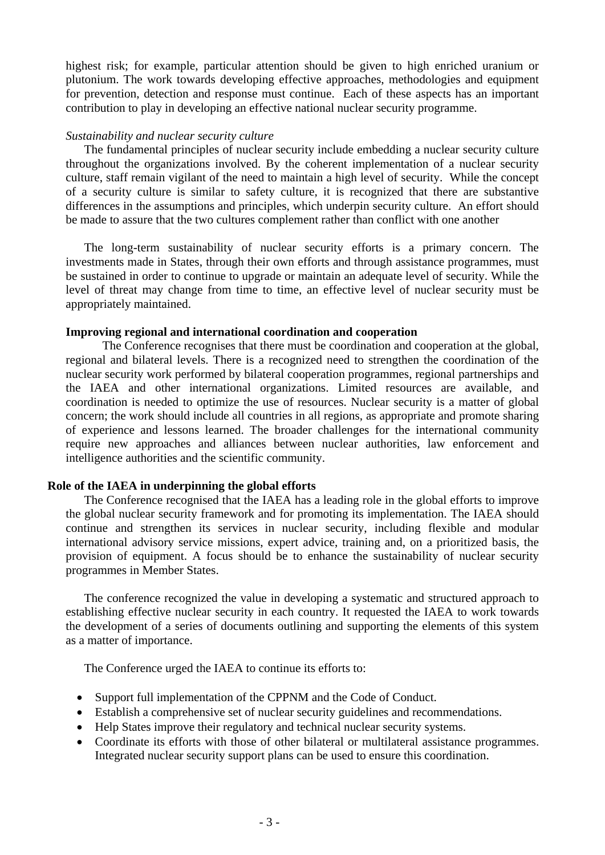highest risk; for example, particular attention should be given to high enriched uranium or plutonium. The work towards developing effective approaches, methodologies and equipment for prevention, detection and response must continue. Each of these aspects has an important contribution to play in developing an effective national nuclear security programme.

### *Sustainability and nuclear security culture*

The fundamental principles of nuclear security include embedding a nuclear security culture throughout the organizations involved. By the coherent implementation of a nuclear security culture, staff remain vigilant of the need to maintain a high level of security. While the concept of a security culture is similar to safety culture, it is recognized that there are substantive differences in the assumptions and principles, which underpin security culture. An effort should be made to assure that the two cultures complement rather than conflict with one another

The long-term sustainability of nuclear security efforts is a primary concern. The investments made in States, through their own efforts and through assistance programmes, must be sustained in order to continue to upgrade or maintain an adequate level of security. While the level of threat may change from time to time, an effective level of nuclear security must be appropriately maintained.

### **Improving regional and international coordination and cooperation**

The Conference recognises that there must be coordination and cooperation at the global, regional and bilateral levels. There is a recognized need to strengthen the coordination of the nuclear security work performed by bilateral cooperation programmes, regional partnerships and the IAEA and other international organizations. Limited resources are available, and coordination is needed to optimize the use of resources. Nuclear security is a matter of global concern; the work should include all countries in all regions, as appropriate and promote sharing of experience and lessons learned. The broader challenges for the international community require new approaches and alliances between nuclear authorities, law enforcement and intelligence authorities and the scientific community.

# **Role of the IAEA in underpinning the global efforts**

The Conference recognised that the IAEA has a leading role in the global efforts to improve the global nuclear security framework and for promoting its implementation. The IAEA should continue and strengthen its services in nuclear security, including flexible and modular international advisory service missions, expert advice, training and, on a prioritized basis, the provision of equipment. A focus should be to enhance the sustainability of nuclear security programmes in Member States.

The conference recognized the value in developing a systematic and structured approach to establishing effective nuclear security in each country. It requested the IAEA to work towards the development of a series of documents outlining and supporting the elements of this system as a matter of importance.

The Conference urged the IAEA to continue its efforts to:

- Support full implementation of the CPPNM and the Code of Conduct.
- Establish a comprehensive set of nuclear security guidelines and recommendations.
- Help States improve their regulatory and technical nuclear security systems.
- Coordinate its efforts with those of other bilateral or multilateral assistance programmes. Integrated nuclear security support plans can be used to ensure this coordination.